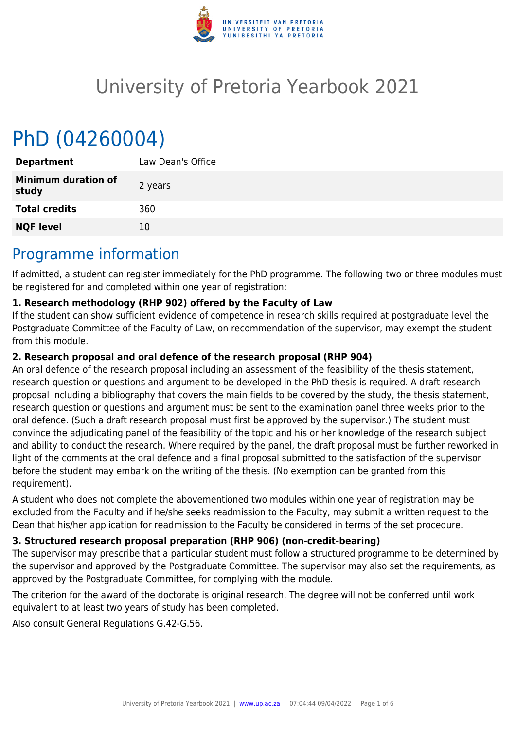

# University of Pretoria Yearbook 2021

# PhD (04260004)

| <b>Department</b>                   | Law Dean's Office |
|-------------------------------------|-------------------|
| <b>Minimum duration of</b><br>study | 2 years           |
| <b>Total credits</b>                | 360               |
| <b>NQF level</b>                    | 10                |
|                                     |                   |

# Programme information

If admitted, a student can register immediately for the PhD programme. The following two or three modules must be registered for and completed within one year of registration:

# **1. Research methodology (RHP 902) offered by the Faculty of Law**

If the student can show sufficient evidence of competence in research skills required at postgraduate level the Postgraduate Committee of the Faculty of Law, on recommendation of the supervisor, may exempt the student from this module.

# **2. Research proposal and oral defence of the research proposal (RHP 904)**

An oral defence of the research proposal including an assessment of the feasibility of the thesis statement, research question or questions and argument to be developed in the PhD thesis is required. A draft research proposal including a bibliography that covers the main fields to be covered by the study, the thesis statement, research question or questions and argument must be sent to the examination panel three weeks prior to the oral defence. (Such a draft research proposal must first be approved by the supervisor.) The student must convince the adjudicating panel of the feasibility of the topic and his or her knowledge of the research subject and ability to conduct the research. Where required by the panel, the draft proposal must be further reworked in light of the comments at the oral defence and a final proposal submitted to the satisfaction of the supervisor before the student may embark on the writing of the thesis. (No exemption can be granted from this requirement).

A student who does not complete the abovementioned two modules within one year of registration may be excluded from the Faculty and if he/she seeks readmission to the Faculty, may submit a written request to the Dean that his/her application for readmission to the Faculty be considered in terms of the set procedure.

# **3. Structured research proposal preparation (RHP 906) (non-credit-bearing)**

The supervisor may prescribe that a particular student must follow a structured programme to be determined by the supervisor and approved by the Postgraduate Committee. The supervisor may also set the requirements, as approved by the Postgraduate Committee, for complying with the module.

The criterion for the award of the doctorate is original research. The degree will not be conferred until work equivalent to at least two years of study has been completed.

Also consult General Regulations G.42-G.56.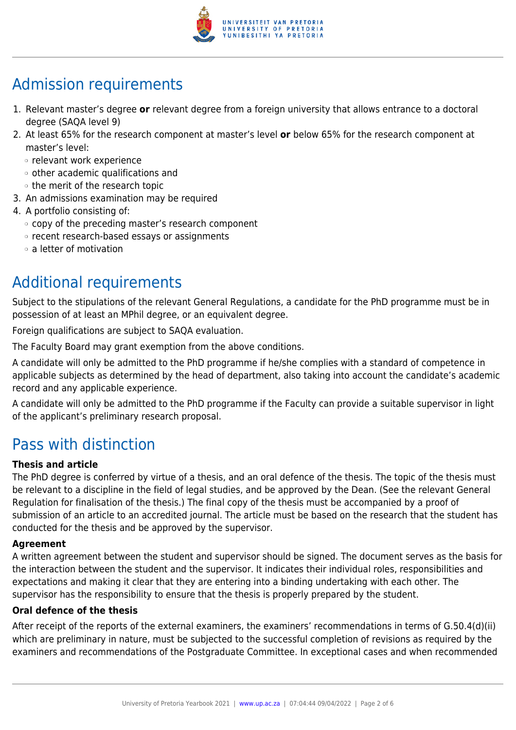

# Admission requirements

- 1. Relevant master's degree **or** relevant degree from a foreign university that allows entrance to a doctoral degree (SAQA level 9)
- 2. At least 65% for the research component at master's level **or** below 65% for the research component at master's level:
	- ❍ relevant work experience
	- ❍ other academic qualifications and
	- ❍ the merit of the research topic
- 3. An admissions examination may be required
- 4. A portfolio consisting of:
	- ❍ copy of the preceding master's research component
	- ❍ recent research-based essays or assignments
	- ❍ a letter of motivation

# Additional requirements

Subject to the stipulations of the relevant General Regulations, a candidate for the PhD programme must be in possession of at least an MPhil degree, or an equivalent degree.

Foreign qualifications are subject to SAQA evaluation.

The Faculty Board may grant exemption from the above conditions.

A candidate will only be admitted to the PhD programme if he/she complies with a standard of competence in applicable subjects as determined by the head of department, also taking into account the candidate's academic record and any applicable experience.

A candidate will only be admitted to the PhD programme if the Faculty can provide a suitable supervisor in light of the applicant's preliminary research proposal.

# Pass with distinction

### **Thesis and article**

The PhD degree is conferred by virtue of a thesis, and an oral defence of the thesis. The topic of the thesis must be relevant to a discipline in the field of legal studies, and be approved by the Dean. (See the relevant General Regulation for finalisation of the thesis.) The final copy of the thesis must be accompanied by a proof of submission of an article to an accredited journal. The article must be based on the research that the student has conducted for the thesis and be approved by the supervisor.

### **Agreement**

A written agreement between the student and supervisor should be signed. The document serves as the basis for the interaction between the student and the supervisor. It indicates their individual roles, responsibilities and expectations and making it clear that they are entering into a binding undertaking with each other. The supervisor has the responsibility to ensure that the thesis is properly prepared by the student.

### **Oral defence of the thesis**

After receipt of the reports of the external examiners, the examiners' recommendations in terms of G.50.4(d)(ii) which are preliminary in nature, must be subjected to the successful completion of revisions as required by the examiners and recommendations of the Postgraduate Committee. In exceptional cases and when recommended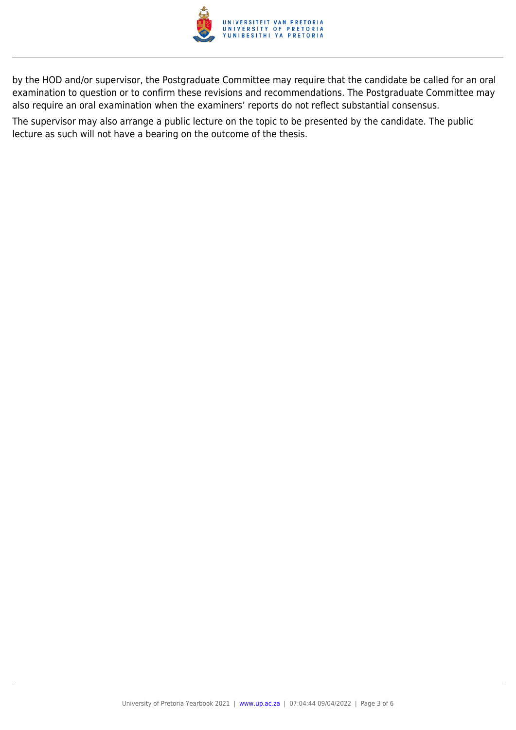

by the HOD and/or supervisor, the Postgraduate Committee may require that the candidate be called for an oral examination to question or to confirm these revisions and recommendations. The Postgraduate Committee may also require an oral examination when the examiners' reports do not reflect substantial consensus.

The supervisor may also arrange a public lecture on the topic to be presented by the candidate. The public lecture as such will not have a bearing on the outcome of the thesis.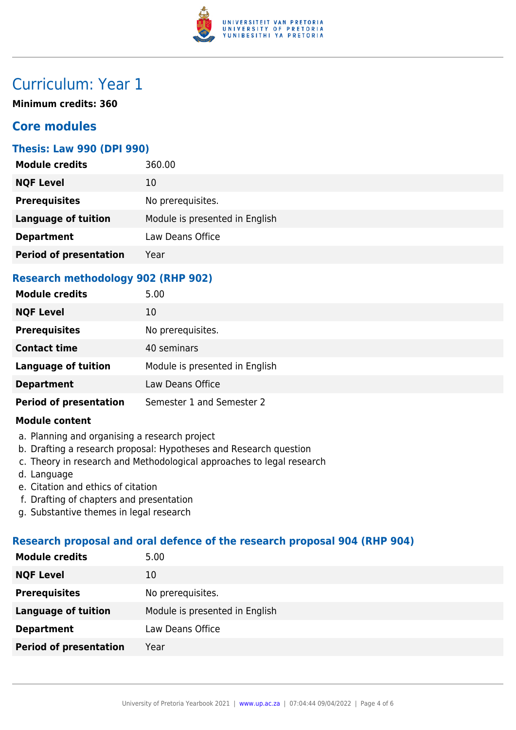

# Curriculum: Year 1

**Minimum credits: 360**

# **Core modules**

### **Thesis: Law 990 (DPI 990)**

| <b>NQF Level</b><br>10                                       | <b>Module credits</b> | 360.00            |
|--------------------------------------------------------------|-----------------------|-------------------|
|                                                              |                       |                   |
|                                                              | <b>Prerequisites</b>  | No prerequisites. |
| <b>Language of tuition</b><br>Module is presented in English |                       |                   |
| Law Deans Office<br><b>Department</b>                        |                       |                   |
| <b>Period of presentation</b><br>Year                        |                       |                   |

# **Research methodology 902 (RHP 902)**

| <b>Module credits</b>         | 5.00                           |
|-------------------------------|--------------------------------|
| <b>NQF Level</b>              | 10                             |
| <b>Prerequisites</b>          | No prerequisites.              |
| <b>Contact time</b>           | 40 seminars                    |
| <b>Language of tuition</b>    | Module is presented in English |
| <b>Department</b>             | Law Deans Office               |
| <b>Period of presentation</b> | Semester 1 and Semester 2      |

#### **Module content**

- a. Planning and organising a research project
- b. Drafting a research proposal: Hypotheses and Research question
- c. Theory in research and Methodological approaches to legal research
- d. Language
- e. Citation and ethics of citation
- f. Drafting of chapters and presentation
- g. Substantive themes in legal research

# **Research proposal and oral defence of the research proposal 904 (RHP 904)**

| 5.00                           |
|--------------------------------|
| 10                             |
| No prerequisites.              |
| Module is presented in English |
| Law Deans Office               |
| Year                           |
|                                |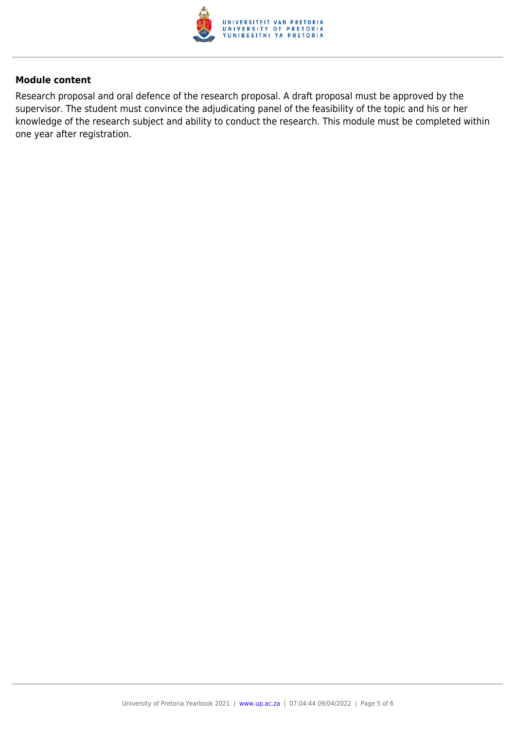

#### **Module content**

Research proposal and oral defence of the research proposal. A draft proposal must be approved by the supervisor. The student must convince the adjudicating panel of the feasibility of the topic and his or her knowledge of the research subject and ability to conduct the research. This module must be completed within one year after registration.